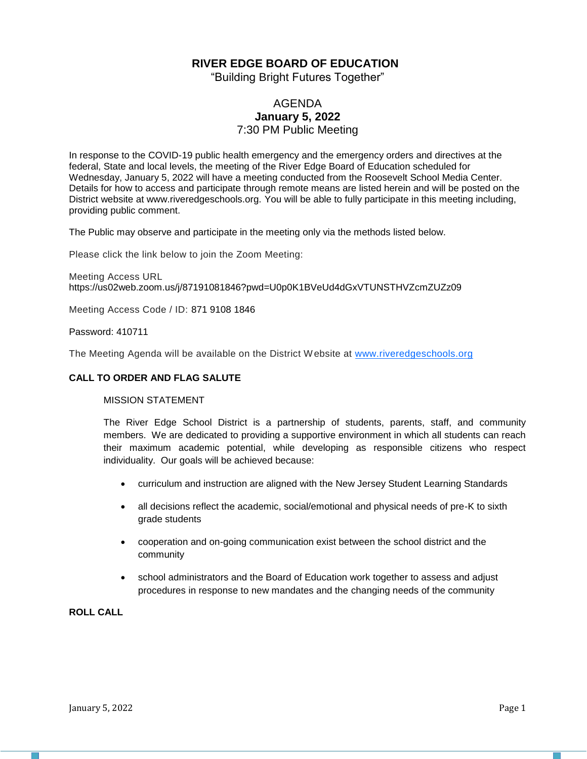## **RIVER EDGE BOARD OF EDUCATION**

"Building Bright Futures Together"

## AGENDA **January 5, 2022** 7:30 PM Public Meeting

In response to the COVID-19 public health emergency and the emergency orders and directives at the federal, State and local levels, the meeting of the River Edge Board of Education scheduled for Wednesday, January 5, 2022 will have a meeting conducted from the Roosevelt School Media Center. Details for how to access and participate through remote means are listed herein and will be posted on the District website at www.riveredgeschools.org. You will be able to fully participate in this meeting including, providing public comment.

The Public may observe and participate in the meeting only via the methods listed below.

Please click the link below to join the Zoom Meeting:

Meeting Access URL https://us02web.zoom.us/j/87191081846?pwd=U0p0K1BVeUd4dGxVTUNSTHVZcmZUZz09

Meeting Access Code / ID: 871 9108 1846

#### Password: 410711

The Meeting Agenda will be available on the District Website at www[.riveredgeschools.org](http://riveredgeschools.org/)

#### **CALL TO ORDER AND FLAG SALUTE**

#### MISSION STATEMENT

The River Edge School District is a partnership of students, parents, staff, and community members. We are dedicated to providing a supportive environment in which all students can reach their maximum academic potential, while developing as responsible citizens who respect individuality. Our goals will be achieved because:

- curriculum and instruction are aligned with the New Jersey Student Learning Standards
- all decisions reflect the academic, social/emotional and physical needs of pre-K to sixth grade students
- cooperation and on-going communication exist between the school district and the community
- school administrators and the Board of Education work together to assess and adjust procedures in response to new mandates and the changing needs of the community

#### **ROLL CALL**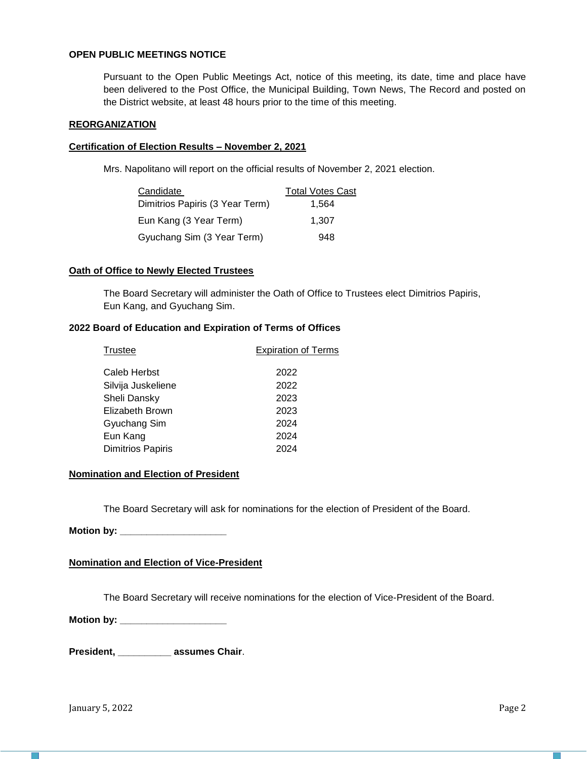## **OPEN PUBLIC MEETINGS NOTICE**

Pursuant to the Open Public Meetings Act, notice of this meeting, its date, time and place have been delivered to the Post Office, the Municipal Building, Town News, The Record and posted on the District website, at least 48 hours prior to the time of this meeting.

#### **REORGANIZATION**

#### **Certification of Election Results – November 2, 2021**

Mrs. Napolitano will report on the official results of November 2, 2021 election.

| Candidate                       | <b>Total Votes Cast</b> |
|---------------------------------|-------------------------|
| Dimitrios Papiris (3 Year Term) | 1.564                   |
| Eun Kang (3 Year Term)          | 1.307                   |
| Gyuchang Sim (3 Year Term)      | 948                     |

#### **Oath of Office to Newly Elected Trustees**

The Board Secretary will administer the Oath of Office to Trustees elect Dimitrios Papiris, Eun Kang, and Gyuchang Sim.

### **2022 Board of Education and Expiration of Terms of Offices**

| <b>Trustee</b>           | <b>Expiration of Terms</b> |  |  |
|--------------------------|----------------------------|--|--|
|                          |                            |  |  |
| Caleb Herbst             | 2022                       |  |  |
| Silvija Juskeliene       | 2022                       |  |  |
| Sheli Dansky             | 2023                       |  |  |
| Elizabeth Brown          | 2023                       |  |  |
| Gyuchang Sim             | 2024                       |  |  |
| Eun Kang                 | 2024                       |  |  |
| <b>Dimitrios Papiris</b> | 2024                       |  |  |

## **Nomination and Election of President**

The Board Secretary will ask for nominations for the election of President of the Board.

**Motion by: \_\_\_\_\_\_\_\_\_\_\_\_\_\_\_\_\_\_\_\_** 

#### **Nomination and Election of Vice-President**

The Board Secretary will receive nominations for the election of Vice-President of the Board.

**Motion by: \_\_\_\_\_\_\_\_\_\_\_\_\_\_\_\_\_\_\_\_** 

**President, \_\_\_\_\_\_\_\_\_\_ assumes Chair**.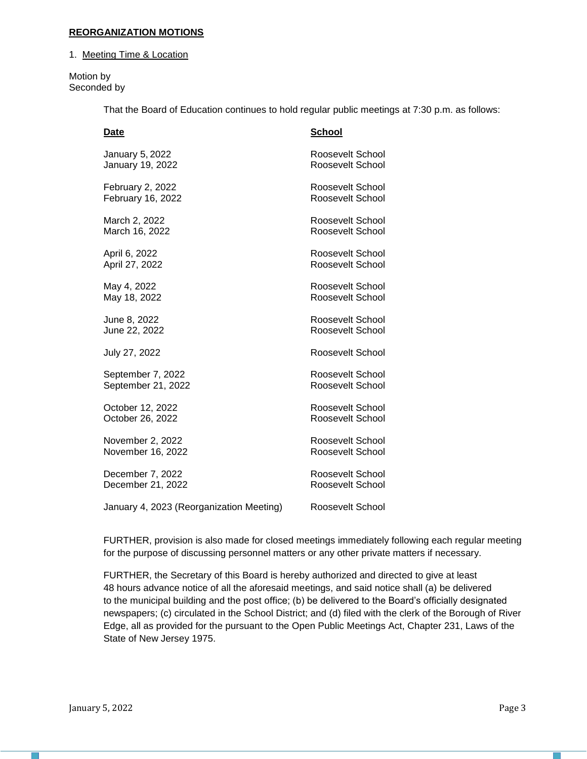#### **REORGANIZATION MOTIONS**

1. Meeting Time & Location

Motion by Seconded by

That the Board of Education continues to hold regular public meetings at 7:30 p.m. as follows:

| Date                                     | <b>School</b>    |
|------------------------------------------|------------------|
| January 5, 2022                          | Roosevelt School |
| January 19, 2022                         | Roosevelt School |
| February 2, 2022                         | Roosevelt School |
| February 16, 2022                        | Roosevelt School |
| March 2, 2022                            | Roosevelt School |
| March 16, 2022                           | Roosevelt School |
| April 6, 2022                            | Roosevelt School |
| April 27, 2022                           | Roosevelt School |
| May 4, 2022                              | Roosevelt School |
| May 18, 2022                             | Roosevelt School |
| June 8, 2022                             | Roosevelt School |
| June 22, 2022                            | Roosevelt School |
| July 27, 2022                            | Roosevelt School |
| September 7, 2022                        | Roosevelt School |
| September 21, 2022                       | Roosevelt School |
| October 12, 2022                         | Roosevelt School |
| October 26, 2022                         | Roosevelt School |
| November 2, 2022                         | Roosevelt School |
| November 16, 2022                        | Roosevelt School |
| December 7, 2022                         | Roosevelt School |
| December 21, 2022                        | Roosevelt School |
| January 4, 2023 (Reorganization Meeting) | Roosevelt School |

FURTHER, provision is also made for closed meetings immediately following each regular meeting for the purpose of discussing personnel matters or any other private matters if necessary.

FURTHER, the Secretary of this Board is hereby authorized and directed to give at least 48 hours advance notice of all the aforesaid meetings, and said notice shall (a) be delivered to the municipal building and the post office; (b) be delivered to the Board's officially designated newspapers; (c) circulated in the School District; and (d) filed with the clerk of the Borough of River Edge, all as provided for the pursuant to the Open Public Meetings Act, Chapter 231, Laws of the State of New Jersey 1975.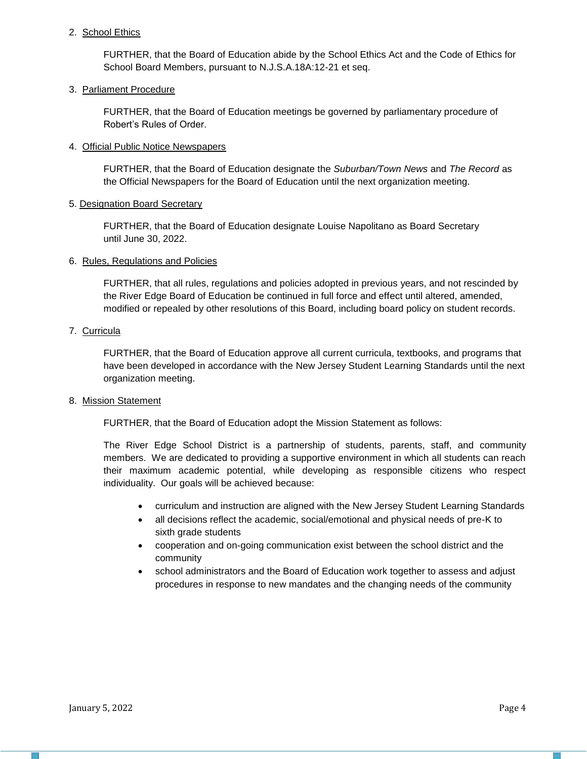## 2. School Ethics

FURTHER, that the Board of Education abide by the School Ethics Act and the Code of Ethics for School Board Members, pursuant to N.J.S.A.18A:12-21 et seq.

## 3. Parliament Procedure

FURTHER, that the Board of Education meetings be governed by parliamentary procedure of Robert's Rules of Order.

### 4. Official Public Notice Newspapers

FURTHER, that the Board of Education designate the *Suburban/Town News* and *The Record* as the Official Newspapers for the Board of Education until the next organization meeting.

## 5. Designation Board Secretary

FURTHER, that the Board of Education designate Louise Napolitano as Board Secretary until June 30, 2022.

## 6. Rules, Regulations and Policies

FURTHER, that all rules, regulations and policies adopted in previous years, and not rescinded by the River Edge Board of Education be continued in full force and effect until altered, amended, modified or repealed by other resolutions of this Board, including board policy on student records.

## 7. Curricula

FURTHER, that the Board of Education approve all current curricula, textbooks, and programs that have been developed in accordance with the New Jersey Student Learning Standards until the next organization meeting.

#### 8. Mission Statement

FURTHER, that the Board of Education adopt the Mission Statement as follows:

The River Edge School District is a partnership of students, parents, staff, and community members. We are dedicated to providing a supportive environment in which all students can reach their maximum academic potential, while developing as responsible citizens who respect individuality. Our goals will be achieved because:

- curriculum and instruction are aligned with the New Jersey Student Learning Standards
- all decisions reflect the academic, social/emotional and physical needs of pre-K to sixth grade students
- cooperation and on-going communication exist between the school district and the community
- school administrators and the Board of Education work together to assess and adjust procedures in response to new mandates and the changing needs of the community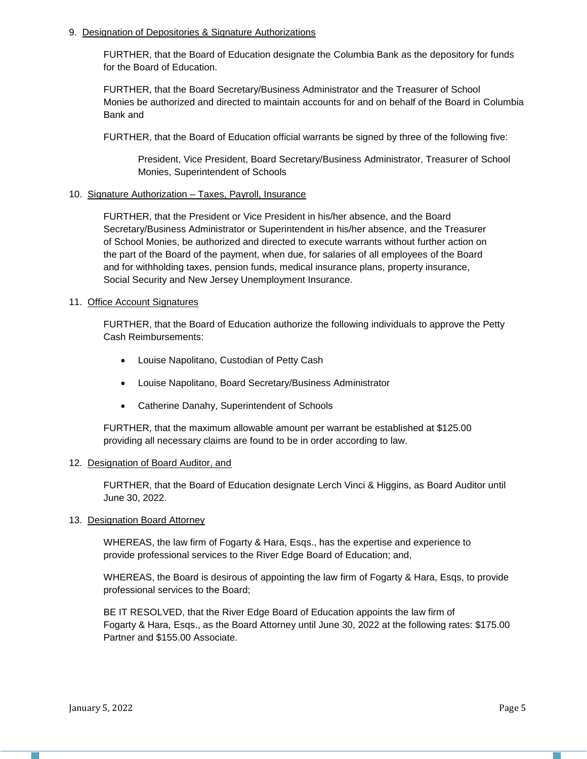#### 9. Designation of Depositories & Signature Authorizations

FURTHER, that the Board of Education designate the Columbia Bank as the depository for funds for the Board of Education.

FURTHER, that the Board Secretary/Business Administrator and the Treasurer of School Monies be authorized and directed to maintain accounts for and on behalf of the Board in Columbia Bank and

FURTHER, that the Board of Education official warrants be signed by three of the following five:

President, Vice President, Board Secretary/Business Administrator, Treasurer of School Monies, Superintendent of Schools

#### 10. Signature Authorization – Taxes, Payroll, Insurance

FURTHER, that the President or Vice President in his/her absence, and the Board Secretary/Business Administrator or Superintendent in his/her absence, and the Treasurer of School Monies, be authorized and directed to execute warrants without further action on the part of the Board of the payment, when due, for salaries of all employees of the Board and for withholding taxes, pension funds, medical insurance plans, property insurance, Social Security and New Jersey Unemployment Insurance.

#### 11. Office Account Signatures

FURTHER, that the Board of Education authorize the following individuals to approve the Petty Cash Reimbursements:

- Louise Napolitano, Custodian of Petty Cash
- Louise Napolitano, Board Secretary/Business Administrator
- Catherine Danahy, Superintendent of Schools

FURTHER, that the maximum allowable amount per warrant be established at \$125.00 providing all necessary claims are found to be in order according to law.

#### 12. Designation of Board Auditor, and

FURTHER, that the Board of Education designate Lerch Vinci & Higgins, as Board Auditor until June 30, 2022.

#### 13. Designation Board Attorney

WHEREAS, the law firm of Fogarty & Hara, Esqs., has the expertise and experience to provide professional services to the River Edge Board of Education; and,

WHEREAS, the Board is desirous of appointing the law firm of Fogarty & Hara, Esqs, to provide professional services to the Board;

BE IT RESOLVED, that the River Edge Board of Education appoints the law firm of Fogarty & Hara, Esqs., as the Board Attorney until June 30, 2022 at the following rates: \$175.00 Partner and \$155.00 Associate.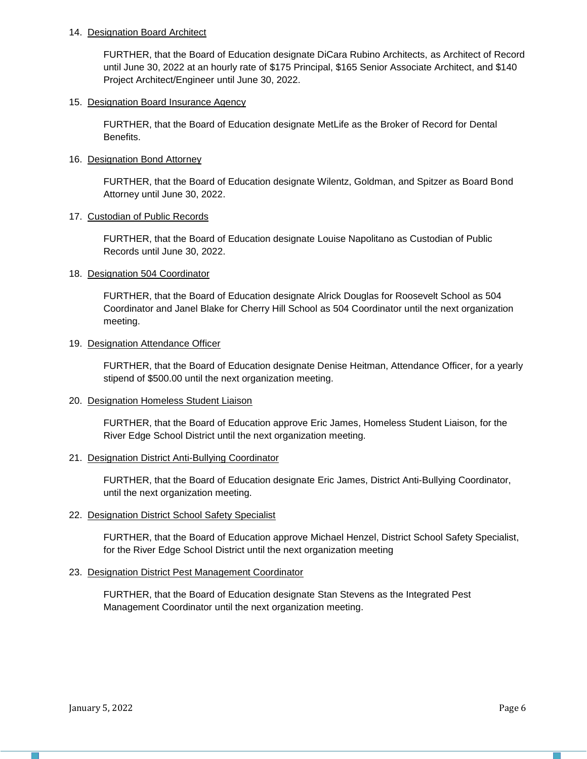#### 14. Designation Board Architect

FURTHER, that the Board of Education designate DiCara Rubino Architects, as Architect of Record until June 30, 2022 at an hourly rate of \$175 Principal, \$165 Senior Associate Architect, and \$140 Project Architect/Engineer until June 30, 2022.

## 15. Designation Board Insurance Agency

FURTHER, that the Board of Education designate MetLife as the Broker of Record for Dental Benefits.

### 16. Designation Bond Attorney

FURTHER, that the Board of Education designate Wilentz, Goldman, and Spitzer as Board Bond Attorney until June 30, 2022.

#### 17. Custodian of Public Records

FURTHER, that the Board of Education designate Louise Napolitano as Custodian of Public Records until June 30, 2022.

## 18. Designation 504 Coordinator

FURTHER, that the Board of Education designate Alrick Douglas for Roosevelt School as 504 Coordinator and Janel Blake for Cherry Hill School as 504 Coordinator until the next organization meeting.

#### 19. Designation Attendance Officer

FURTHER, that the Board of Education designate Denise Heitman, Attendance Officer, for a yearly stipend of \$500.00 until the next organization meeting.

## 20. Designation Homeless Student Liaison

FURTHER, that the Board of Education approve Eric James, Homeless Student Liaison, for the River Edge School District until the next organization meeting.

#### 21. Designation District Anti-Bullying Coordinator

FURTHER, that the Board of Education designate Eric James, District Anti-Bullying Coordinator, until the next organization meeting.

## 22. Designation District School Safety Specialist

FURTHER, that the Board of Education approve Michael Henzel, District School Safety Specialist, for the River Edge School District until the next organization meeting

#### 23. Designation District Pest Management Coordinator

FURTHER, that the Board of Education designate Stan Stevens as the Integrated Pest Management Coordinator until the next organization meeting.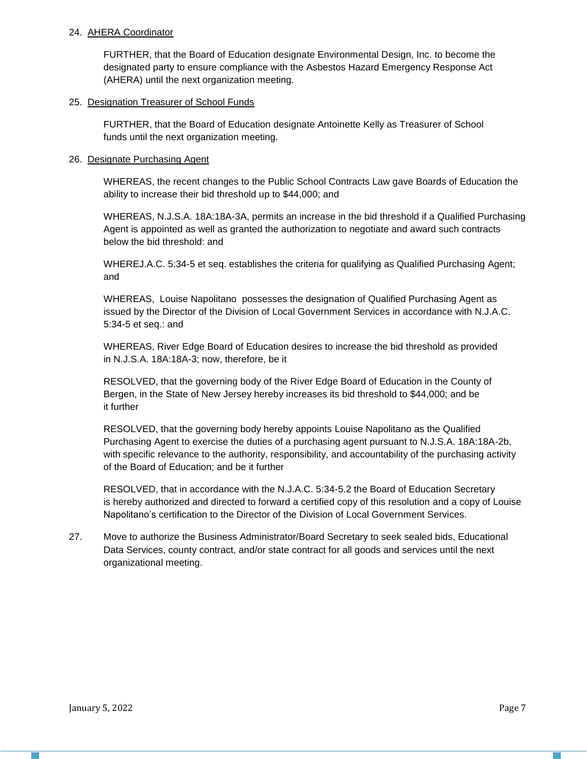#### 24. AHERA Coordinator

FURTHER, that the Board of Education designate Environmental Design, Inc. to become the designated party to ensure compliance with the Asbestos Hazard Emergency Response Act (AHERA) until the next organization meeting.

## 25. Designation Treasurer of School Funds

FURTHER, that the Board of Education designate Antoinette Kelly as Treasurer of School funds until the next organization meeting.

### 26. Designate Purchasing Agent

WHEREAS, the recent changes to the Public School Contracts Law gave Boards of Education the ability to increase their bid threshold up to \$44,000; and

WHEREAS, N.J.S.A. 18A:18A-3A, permits an increase in the bid threshold if a Qualified Purchasing Agent is appointed as well as granted the authorization to negotiate and award such contracts below the bid threshold: and

WHEREJ.A.C. 5:34-5 et seq. establishes the criteria for qualifying as Qualified Purchasing Agent; and

WHEREAS, Louise Napolitano possesses the designation of Qualified Purchasing Agent as issued by the Director of the Division of Local Government Services in accordance with N.J.A.C. 5:34-5 et seq.: and

WHEREAS, River Edge Board of Education desires to increase the bid threshold as provided in N.J.S.A. 18A:18A-3; now, therefore, be it

RESOLVED, that the governing body of the River Edge Board of Education in the County of Bergen, in the State of New Jersey hereby increases its bid threshold to \$44,000; and be it further

RESOLVED, that the governing body hereby appoints Louise Napolitano as the Qualified Purchasing Agent to exercise the duties of a purchasing agent pursuant to N.J.S.A. 18A:18A-2b, with specific relevance to the authority, responsibility, and accountability of the purchasing activity of the Board of Education; and be it further

RESOLVED, that in accordance with the N.J.A.C. 5:34-5.2 the Board of Education Secretary is hereby authorized and directed to forward a certified copy of this resolution and a copy of Louise Napolitano's certification to the Director of the Division of Local Government Services.

27. Move to authorize the Business Administrator/Board Secretary to seek sealed bids, Educational Data Services, county contract, and/or state contract for all goods and services until the next organizational meeting.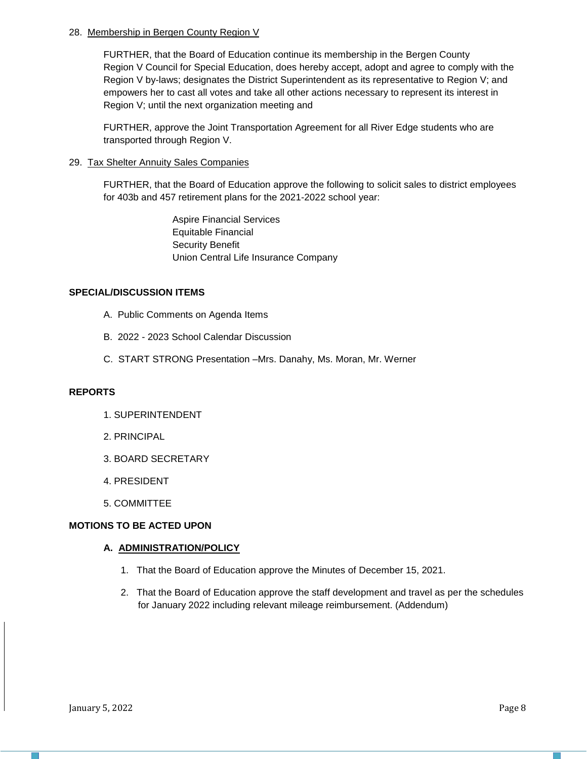## 28. Membership in Bergen County Region V

FURTHER, that the Board of Education continue its membership in the Bergen County Region V Council for Special Education, does hereby accept, adopt and agree to comply with the Region V by-laws; designates the District Superintendent as its representative to Region V; and empowers her to cast all votes and take all other actions necessary to represent its interest in Region V; until the next organization meeting and

FURTHER, approve the Joint Transportation Agreement for all River Edge students who are transported through Region V.

## 29. Tax Shelter Annuity Sales Companies

FURTHER, that the Board of Education approve the following to solicit sales to district employees for 403b and 457 retirement plans for the 2021-2022 school year:

> Aspire Financial Services Equitable Financial Security Benefit Union Central Life Insurance Company

## **SPECIAL/DISCUSSION ITEMS**

- A. Public Comments on Agenda Items
- B. 2022 2023 School Calendar Discussion
- C. START STRONG Presentation –Mrs. Danahy, Ms. Moran, Mr. Werner

## **REPORTS**

- 1. SUPERINTENDENT
- 2. PRINCIPAL
- 3. BOARD SECRETARY
- 4. PRESIDENT
- 5. COMMITTEE

## **MOTIONS TO BE ACTED UPON**

#### **A. ADMINISTRATION/POLICY**

- 1. That the Board of Education approve the Minutes of December 15, 2021.
- 2. That the Board of Education approve the staff development and travel as per the schedules for January 2022 including relevant mileage reimbursement. (Addendum)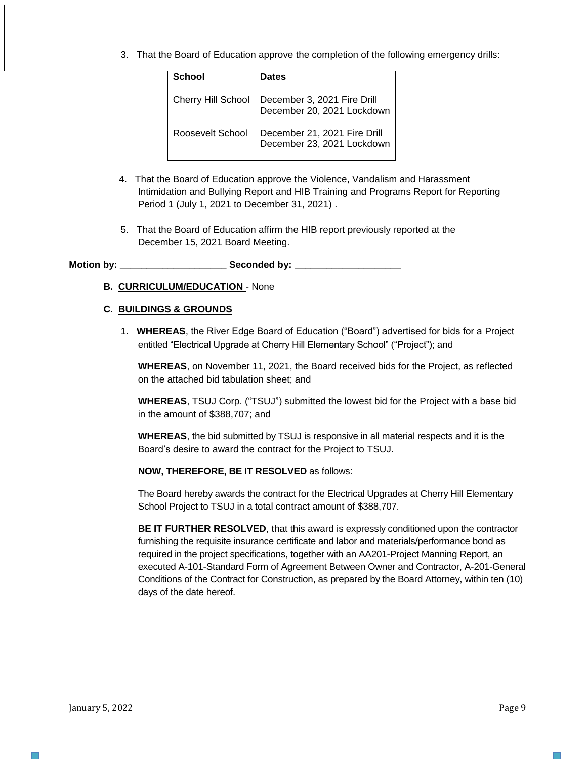3. That the Board of Education approve the completion of the following emergency drills:

| School                    | <b>Dates</b>                                               |
|---------------------------|------------------------------------------------------------|
| <b>Cherry Hill School</b> | December 3, 2021 Fire Drill<br>December 20, 2021 Lockdown  |
| Roosevelt School          | December 21, 2021 Fire Drill<br>December 23, 2021 Lockdown |

- 4. That the Board of Education approve the Violence, Vandalism and Harassment Intimidation and Bullying Report and HIB Training and Programs Report for Reporting Period 1 (July 1, 2021 to December 31, 2021) .
- 5. That the Board of Education affirm the HIB report previously reported at the December 15, 2021 Board Meeting.

**Motion by: \_\_\_\_\_\_\_\_\_\_\_\_\_\_\_\_\_\_\_\_ Seconded by: \_\_\_\_\_\_\_\_\_\_\_\_\_\_\_\_\_\_\_\_**

**B. CURRICULUM/EDUCATION** - None

## **C. BUILDINGS & GROUNDS**

1. **WHEREAS**, the River Edge Board of Education ("Board") advertised for bids for a Project entitled "Electrical Upgrade at Cherry Hill Elementary School" ("Project"); and

**WHEREAS**, on November 11, 2021, the Board received bids for the Project, as reflected on the attached bid tabulation sheet; and

**WHEREAS**, TSUJ Corp. ("TSUJ") submitted the lowest bid for the Project with a base bid in the amount of \$388,707; and

**WHEREAS**, the bid submitted by TSUJ is responsive in all material respects and it is the Board's desire to award the contract for the Project to TSUJ.

**NOW, THEREFORE, BE IT RESOLVED** as follows:

The Board hereby awards the contract for the Electrical Upgrades at Cherry Hill Elementary School Project to TSUJ in a total contract amount of \$388,707.

**BE IT FURTHER RESOLVED**, that this award is expressly conditioned upon the contractor furnishing the requisite insurance certificate and labor and materials/performance bond as required in the project specifications, together with an AA201-Project Manning Report, an executed A-101-Standard Form of Agreement Between Owner and Contractor, A-201-General Conditions of the Contract for Construction, as prepared by the Board Attorney, within ten (10) days of the date hereof.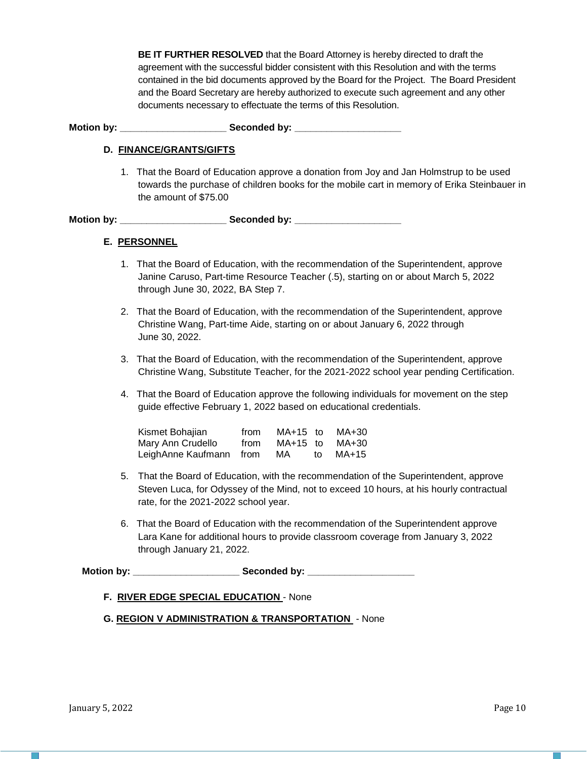**BE IT FURTHER RESOLVED** that the Board Attorney is hereby directed to draft the agreement with the successful bidder consistent with this Resolution and with the terms contained in the bid documents approved by the Board for the Project. The Board President and the Board Secretary are hereby authorized to execute such agreement and any other documents necessary to effectuate the terms of this Resolution.

Motion by: **Example 20 Seconded by:** Seconded by:

## **D. FINANCE/GRANTS/GIFTS**

1. That the Board of Education approve a donation from Joy and Jan Holmstrup to be used towards the purchase of children books for the mobile cart in memory of Erika Steinbauer in the amount of \$75.00

Motion by: **Example 20 Seconded by:** Seconded by:

## **E. PERSONNEL**

- 1. That the Board of Education, with the recommendation of the Superintendent, approve Janine Caruso, Part-time Resource Teacher (.5), starting on or about March 5, 2022 through June 30, 2022, BA Step 7.
- 2. That the Board of Education, with the recommendation of the Superintendent, approve Christine Wang, Part-time Aide, starting on or about January 6, 2022 through June 30, 2022.
- 3. That the Board of Education, with the recommendation of the Superintendent, approve Christine Wang, Substitute Teacher, for the 2021-2022 school year pending Certification.
- 4. That the Board of Education approve the following individuals for movement on the step guide effective February 1, 2022 based on educational credentials.

| Kismet Bohajian         | from | MA+15 to |    | MA+30 |
|-------------------------|------|----------|----|-------|
| Mary Ann Crudello       | from | MA+15 to |    | MA+30 |
| LeighAnne Kaufmann from |      | MA       | t∩ | MA+15 |

- 5. That the Board of Education, with the recommendation of the Superintendent, approve Steven Luca, for Odyssey of the Mind, not to exceed 10 hours, at his hourly contractual rate, for the 2021-2022 school year.
- 6. That the Board of Education with the recommendation of the Superintendent approve Lara Kane for additional hours to provide classroom coverage from January 3, 2022 through January 21, 2022.

**Motion by: \_\_\_\_\_\_\_\_\_\_\_\_\_\_\_\_\_\_\_\_ Seconded by: \_\_\_\_\_\_\_\_\_\_\_\_\_\_\_\_\_\_\_\_**

#### **F. RIVER EDGE SPECIAL EDUCATION** - None

**G. REGION V ADMINISTRATION & TRANSPORTATION** - None